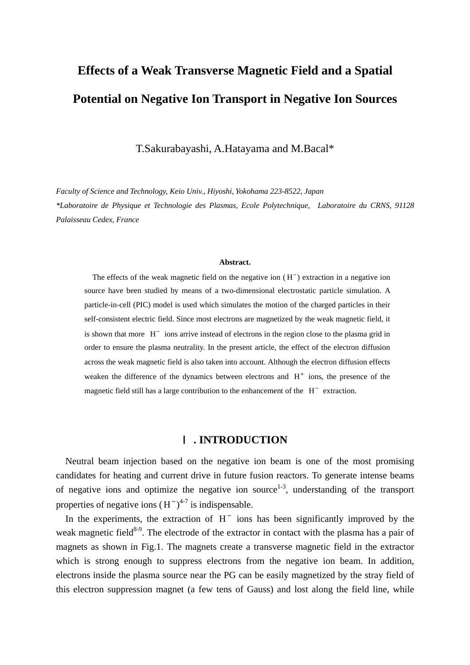# **Effects of a Weak Transverse Magnetic Field and a Spatial Potential on Negative Ion Transport in Negative Ion Sources**

T.Sakurabayashi, A.Hatayama and M.Bacal\*

*Faculty of Science and Technology, Keio Univ., Hiyoshi, Yokohama 223-8522, Japan \*Laboratoire de Physique et Technologie des Plasmas, Ecole Polytechnique, Laboratoire du CRNS, 91128 Palaisseau Cedex, France* 

#### **Abstract.**

The effects of the weak magnetic field on the negative ion  $(H^-)$  extraction in a negative ion source have been studied by means of a two-dimensional electrostatic particle simulation. A particle-in-cell (PIC) model is used which simulates the motion of the charged particles in their self-consistent electric field. Since most electrons are magnetized by the weak magnetic field, it is shown that more  $H^-$  ions arrive instead of electrons in the region close to the plasma grid in order to ensure the plasma neutrality. In the present article, the effect of the electron diffusion across the weak magnetic field is also taken into account. Although the electron diffusion effects weaken the difference of the dynamics between electrons and  $H^+$  ions, the presence of the magnetic field still has a large contribution to the enhancement of the  $H^-$  extraction.

## **. INTRODUCTION**

Neutral beam injection based on the negative ion beam is one of the most promising candidates for heating and current drive in future fusion reactors. To generate intense beams of negative ions and optimize the negative ion source<sup>1-3</sup>, understanding of the transport properties of negative ions  $(H^{-})^{4-7}$  is indispensable.

In the experiments, the extraction of  $H^-$  ions has been significantly improved by the weak magnetic field<sup>8-9</sup>. The electrode of the extractor in contact with the plasma has a pair of magnets as shown in Fig.1. The magnets create a transverse magnetic field in the extractor which is strong enough to suppress electrons from the negative ion beam. In addition, electrons inside the plasma source near the PG can be easily magnetized by the stray field of this electron suppression magnet (a few tens of Gauss) and lost along the field line, while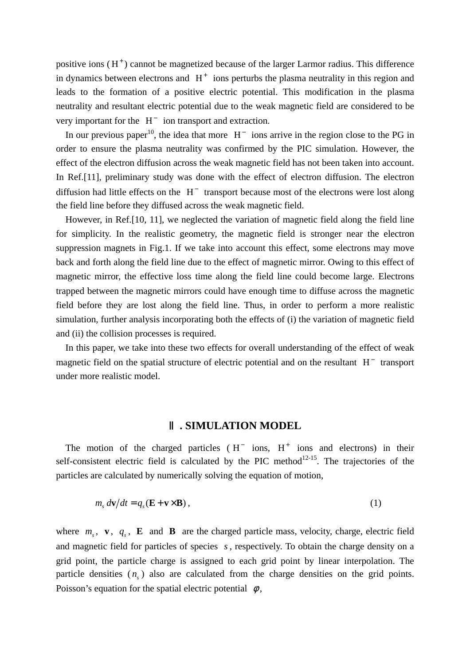positive ions  $(H^+)$  cannot be magnetized because of the larger Larmor radius. This difference in dynamics between electrons and  $H^+$  ions perturbs the plasma neutrality in this region and leads to the formation of a positive electric potential. This modification in the plasma neutrality and resultant electric potential due to the weak magnetic field are considered to be very important for the  $H^-$  ion transport and extraction.

diffusion had little effects on the  $H^-$  transport because most of the electrons were lost along In our previous paper<sup>10</sup>, the idea that more  $H^-$  ions arrive in the region close to the PG in order to ensure the plasma neutrality was confirmed by the PIC simulation. However, the effect of the electron diffusion across the weak magnetic field has not been taken into account. In Ref.[11], preliminary study was done with the effect of electron diffusion. The electron the field line before they diffused across the weak magnetic field.

However, in Ref.[10, 11], we neglected the variation of magnetic field along the field line for simplicity. In the realistic geometry, the magnetic field is stronger near the electron suppression magnets in Fig.1. If we take into account this effect, some electrons may move back and forth along the field line due to the effect of magnetic mirror. Owing to this effect of magnetic mirror, the effective loss time along the field line could become large. Electrons trapped between the magnetic mirrors could have enough time to diffuse across the magnetic field before they are lost along the field line. Thus, in order to perform a more realistic simulation, further analysis incorporating both the effects of (i) the variation of magnetic field and (ii) the collision processes is required.

In this paper, we take into these two effects for overall understanding of the effect of weak magnetic field on the spatial structure of electric potential and on the resultant  $H^-$  transport under more realistic model.

#### **. SIMULATION MODEL**

The motion of the charged particles  $(H<sup>-</sup> ions, H<sup>+</sup> ions and electrons)$  in their self-consistent electric field is calculated by the PIC method $12-15$ . The trajectories of the particles are calculated by numerically solving the equation of motion,

$$
m_s \, d\mathbf{v}/dt = q_s (\mathbf{E} + \mathbf{v} \times \mathbf{B}), \tag{1}
$$

where  $m_s$ , **v**,  $q_s$ , **E** and **B** are the charged particle mass, velocity, charge, electric field and magnetic field for particles of species s, respectively. To obtain the charge density on a grid point, the particle charge is assigned to each grid point by linear interpolation. The particle densities  $(n<sub>s</sub>)$  also are calculated from the charge densities on the grid points. Poisson's equation for the spatial electric potential  $\phi$ ,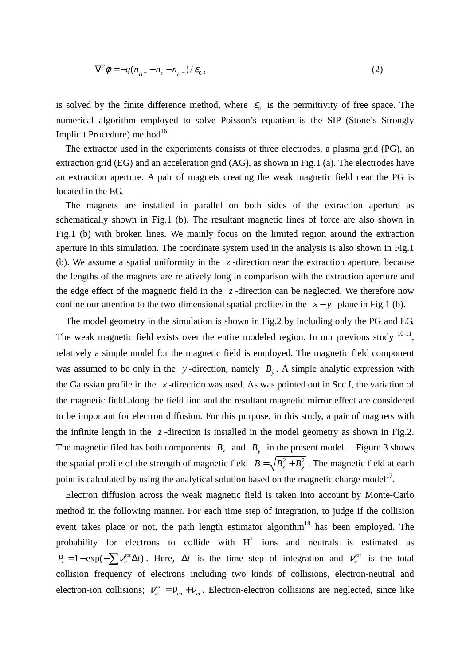$$
\nabla^2 \phi = -q(n_{H^+} - n_e - n_{H^-})/\varepsilon_0, \qquad (2)
$$

is solved by the finite difference method, where  $\varepsilon_0$  is the permittivity of free space. The numerical algorithm employed to solve Poisson's equation is the SIP (Stone's Strongly Implicit Procedure) method<sup>16</sup>.

The extractor used in the experiments consists of three electrodes, a plasma grid (PG), an extraction grid (EG) and an acceleration grid (AG), as shown in Fig.1 (a). The electrodes have an extraction aperture. A pair of magnets creating the weak magnetic field near the PG is located in the EG.

The magnets are installed in parallel on both sides of the extraction aperture as schematically shown in Fig.1 (b). The resultant magnetic lines of force are also shown in Fig.1 (b) with broken lines. We mainly focus on the limited region around the extraction aperture in this simulation. The coordinate system used in the analysis is also shown in Fig.1 (b). We assume a spatial uniformity in the  $z$ -direction near the extraction aperture, because the lengths of the magnets are relatively long in comparison with the extraction aperture and the edge effect of the magnetic field in the  $z$ -direction can be neglected. We therefore now confine our attention to the two-dimensional spatial profiles in the  $x - y$  plane in Fig.1 (b).

The model geometry in the simulation is shown in Fig.2 by including only the PG and EG. The weak magnetic field exists over the entire modeled region. In our previous study  $10-11$ , relatively a simple model for the magnetic field is employed. The magnetic field component was assumed to be only in the *y*-direction, namely  $B_y$ . A simple analytic expression with the Gaussian profile in the *x* -direction was used. As was pointed out in Sec.I, the variation of the magnetic field along the field line and the resultant magnetic mirror effect are considered to be important for electron diffusion. For this purpose, in this study, a pair of magnets with the infinite length in the  $z$ -direction is installed in the model geometry as shown in Fig.2. The magnetic filed has both components  $B_x$  and  $B_y$  in the present model. Figure 3 shows the spatial profile of the strength of magnetic field  $B = \sqrt{B_x^2 + B_y^2}$ . The magnetic field at each point is calculated by using the analytical solution based on the magnetic charge model<sup>17</sup>.

Electron diffusion across the weak magnetic field is taken into account by Monte-Carlo method in the following manner. For each time step of integration, to judge if the collision event takes place or not, the path length estimator algorithm<sup>18</sup> has been employed. The probability for electrons to collide with  $H^+$  ions and neutrals is estimated as  $P_e = 1 - \exp(-\sum_i V_e^{tot} \Delta t)$ . Here,  $\Delta t$  is the time step of integration and  $V_e^{tot}$  is the total collision frequency of electrons including two kinds of collisions, electron-neutral and electron-ion collisions;  $v_e^{tot} = v_{en} + v_{ei}$ . Electron-electron collisions are neglected, since like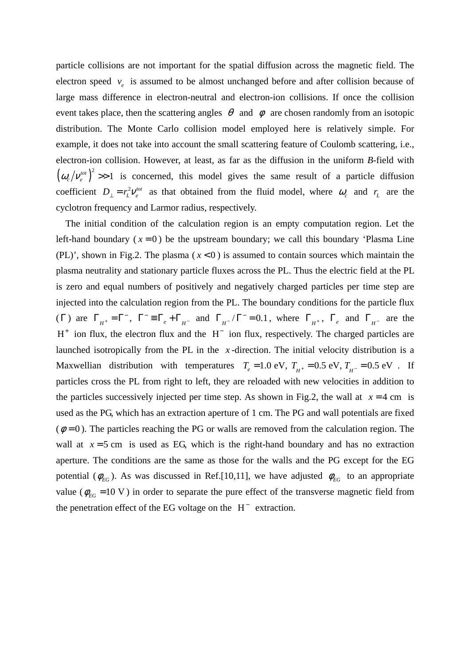particle collisions are not important for the spatial diffusion across the magnetic field. The electron speed  $v_e$  is assumed to be almost unchanged before and after collision because of large mass difference in electron-neutral and electron-ion collisions. If once the collision event takes place, then the scattering angles  $\theta$  and  $\phi$  are chosen randomly from an isotopic distribution. The Monte Carlo collision model employed here is relatively simple. For example, it does not take into account the small scattering feature of Coulomb scattering, i.e., electron-ion collision. However, at least, as far as the diffusion in the uniform *B*-field with  $(\omega_c / v_e^{tot})^2 >> 1$  is concerned, this model gives the same result of a particle diffusion coefficient  $D_{\perp} = r_L^2 V_e^{tot}$  as that obtained from the fluid model, where  $\omega_c$  and  $r_L$  are the cyclotron frequency and Larmor radius, respectively.

left-hand boundary ( $x = 0$ ) be the upstream boundary; we call this boundary 'Plasma Line ( $\Gamma$ ) are  $\Gamma_{H^+} = \Gamma^-$ ,  $\Gamma^- = \Gamma_e + \Gamma_{H^-}$  and  $\Gamma_{H^-} / \Gamma^- = 0.1$ , where  $\Gamma_{H^+}$ ,  $\Gamma_e$  and  $\Gamma_{H^-}$  $H^+$  ion flux, the electron flux and the  $H^-$  ion flux, respectively. The charged particles are launched isotropically from the PL in the  $x$ -direction. The initial velocity distribution is a Maxwellian distribution with temperatures  $T_e = 1.0 \text{ eV}$ ,  $T_{H^+} = 0.5 \text{ eV}$ ,  $T_{H^-} = 0.5 \text{ eV}$ . If the particles successively injected per time step. As shown in Fig.2, the wall at  $x = 4$  cm is  $(\phi = 0)$ . The particles reaching the PG or walls are removed from the calculation region. The wall at  $x = 5$  cm is used as EG, which is the right-hand boundary and has no extraction potential ( $\phi_{EG}$ ). As was discussed in Ref.[10,11], we have adjusted  $\phi_{EG}$  to an appropriate value ( $\phi_{EG}$  =10 V) in order to separate the pure effect of the transverse magnetic field from The initial condition of the calculation region is an empty computation region. Let the (PL)', shown in Fig.2. The plasma ( $x < 0$ ) is assumed to contain sources which maintain the plasma neutrality and stationary particle fluxes across the PL. Thus the electric field at the PL is zero and equal numbers of positively and negatively charged particles per time step are injected into the calculation region from the PL. The boundary conditions for the particle flux .1, where  $\Gamma_{H^+}$ ,  $\Gamma_e$  and  $\Gamma_{H^-}$  are the particles cross the PL from right to left, they are reloaded with new velocities in addition to used as the PG, which has an extraction aperture of 1 cm. The PG and wall potentials are fixed aperture. The conditions are the same as those for the walls and the PG except for the EG the penetration effect of the EG voltage on the  $H^-$  extraction.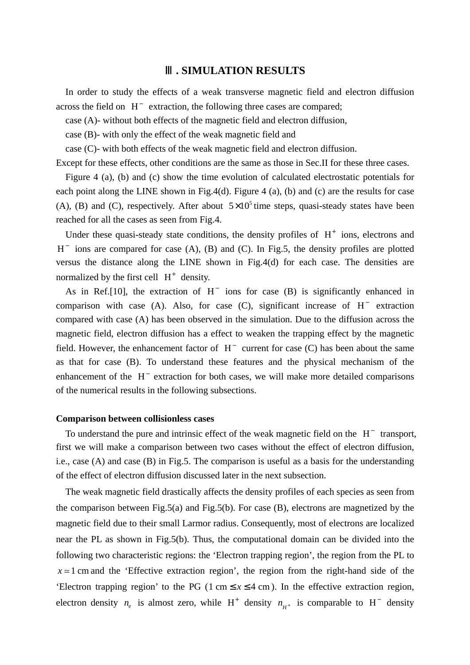## **. SIMULATION RESULTS**

In order to study the effects of a weak transverse magnetic field and electron diffusion across the field on  $H^-$  extraction, the following three cases are compared;

case (A)- without both effects of the magnetic field and electron diffusion,

case (B)- with only the effect of the weak magnetic field and

case (C)- with both effects of the weak magnetic field and electron diffusion.

Except for these effects, other conditions are the same as those in Sec.II for these three cases.

Figure 4 (a), (b) and (c) show the time evolution of calculated electrostatic potentials for each point along the LINE shown in Fig.4(d). Figure 4 (a), (b) and (c) are the results for case (A), (B) and (C), respectively. After about  $5 \times 10^5$  time steps, quasi-steady states have been reached for all the cases as seen from Fig.4.

Under these quasi-steady state conditions, the density profiles of  $H^+$  ions, electrons and  $H^-$  ions are compared for case (A), (B) and (C). In Fig.5, the density profiles are plotted versus the distance along the LINE shown in Fig.4(d) for each case. The densities are normalized by the first cell  $H^+$  density.

As in Ref.[10], the extraction of  $H^-$  ions for case (B) is significantly enhanced in comparison with case (A). Also, for case  $(C)$ , significant increase of  $H^-$  extraction compared with case (A) has been observed in the simulation. Due to the diffusion across the magnetic field, electron diffusion has a effect to weaken the trapping effect by the magnetic field. However, the enhancement factor of  $H^-$  current for case (C) has been about the same as that for case (B). To understand these features and the physical mechanism of the enhancement of the  $H^-$  extraction for both cases, we will make more detailed comparisons of the numerical results in the following subsections.

### **Comparison between collisionless cases**

To understand the pure and intrinsic effect of the weak magnetic field on the  $H^-$  transport, first we will make a comparison between two cases without the effect of electron diffusion, i.e., case (A) and case (B) in Fig.5. The comparison is useful as a basis for the understanding of the effect of electron diffusion discussed later in the next subsection.

The weak magnetic field drastically affects the density profiles of each species as seen from the comparison between Fig.5(a) and Fig.5(b). For case (B), electrons are magnetized by the magnetic field due to their small Larmor radius. Consequently, most of electrons are localized near the PL as shown in Fig.5(b). Thus, the computational domain can be divided into the following two characteristic regions: the 'Electron trapping region', the region from the PL to  $x \approx 1$  cm and the 'Effective extraction region', the region from the right-hand side of the 'Electron trapping region' to the PG (1 cm  $\le x \le 4$  cm). In the effective extraction region, electron density  $n_e$  is almost zero, while H<sup>+</sup> density  $n_{H^+}$  is comparable to H<sup>-</sup> density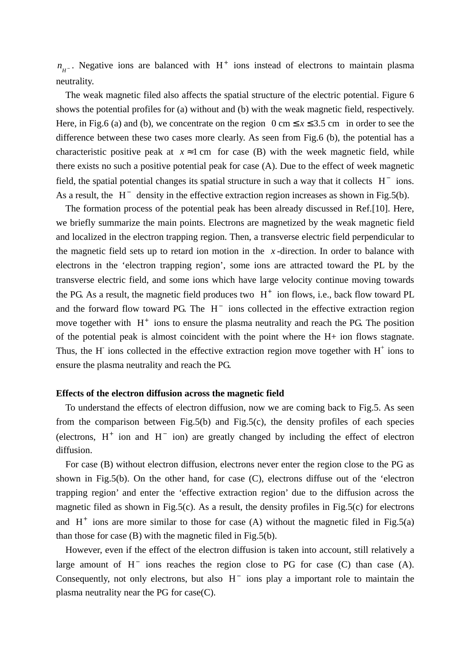$n_{H^-}$ . Negative ions are balanced with H<sup>+</sup> ions instead of electrons to maintain plasma neutrality.

The weak magnetic filed also affects the spatial structure of the electric potential. Figure 6 shows the potential profiles for (a) without and (b) with the weak magnetic field, respectively. Here, in Fig.6 (a) and (b), we concentrate on the region  $0 \text{ cm} \le x \le 3.5 \text{ cm}$  in order to see the difference between these two cases more clearly. As seen from Fig.6 (b), the potential has a characteristic positive peak at  $x \approx 1$  cm for case (B) with the week magnetic field, while there exists no such a positive potential peak for case (A). Due to the effect of week magnetic field, the spatial potential changes its spatial structure in such a way that it collects  $H^-$  ions. As a result, the  $H^-$  density in the effective extraction region increases as shown in Fig.5(b).

and the forward flow toward PG. The  $H^-$  ions collected in the effective extraction region The formation process of the potential peak has been already discussed in Ref.[10]. Here, we briefly summarize the main points. Electrons are magnetized by the weak magnetic field and localized in the electron trapping region. Then, a transverse electric field perpendicular to the magnetic field sets up to retard ion motion in the  $x$ -direction. In order to balance with electrons in the 'electron trapping region', some ions are attracted toward the PL by the transverse electric field, and some ions which have large velocity continue moving towards the PG. As a result, the magnetic field produces two  $H^+$  ion flows, i.e., back flow toward PL move together with  $H^+$  ions to ensure the plasma neutrality and reach the PG. The position of the potential peak is almost coincident with the point where the H+ ion flows stagnate. Thus, the H ions collected in the effective extraction region move together with  $H^+$  ions to ensure the plasma neutrality and reach the PG.

#### **Effects of the electron diffusion across the magnetic field**

To understand the effects of electron diffusion, now we are coming back to Fig.5. As seen from the comparison between Fig.5(b) and Fig.5(c), the density profiles of each species (electrons,  $H^+$  ion and  $H^-$  ion) are greatly changed by including the effect of electron diffusion.

For case (B) without electron diffusion, electrons never enter the region close to the PG as shown in Fig.5(b). On the other hand, for case (C), electrons diffuse out of the 'electron trapping region' and enter the 'effective extraction region' due to the diffusion across the magnetic filed as shown in Fig.5(c). As a result, the density profiles in Fig.5(c) for electrons and  $H^+$  ions are more similar to those for case (A) without the magnetic filed in Fig.5(a) than those for case (B) with the magnetic filed in Fig.5(b).

However, even if the effect of the electron diffusion is taken into account, still relatively a large amount of  $H^-$  ions reaches the region close to PG for case (C) than case (A). Consequently, not only electrons, but also  $H^-$  ions play a important role to maintain the plasma neutrality near the PG for case(C).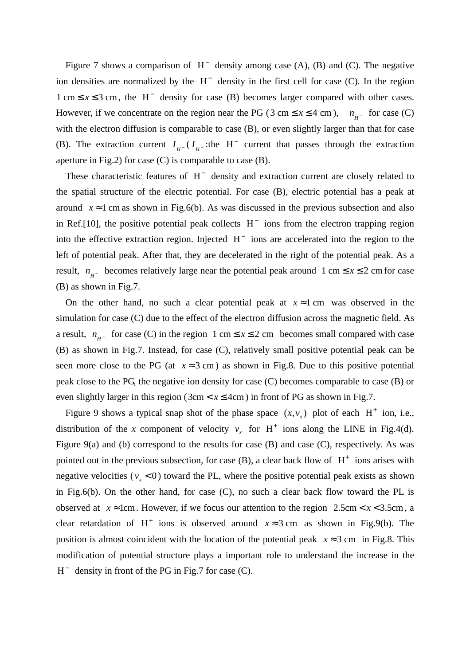Figure 7 shows a comparison of  $H^-$  density among case (A), (B) and (C). The negative ion densities are normalized by the  $H^-$  density in the first cell for case (C). In the region  $1 \text{ cm} \le x \le 3 \text{ cm}$ , the H<sup>-</sup> density for case (B) becomes larger compared with other cases. However, if we concentrate on the region near the PG (3 cm  $\leq x \leq 4$  cm),  $n_{H^-}$  for case (C) with the electron diffusion is comparable to case (B), or even slightly larger than that for case (B). The extraction current  $I_{H^-}(I_{H^-})$ :the H<sup>-</sup> current that passes through the extraction aperture in Fig.2) for case  $(C)$  is comparable to case  $(B)$ .

These characteristic features of  $H^-$  density and extraction current are closely related to the spatial structure of the electric potential. For case (B), electric potential has a peak at around  $x \approx 1$  cm as shown in Fig.6(b). As was discussed in the previous subsection and also in Ref.[10], the positive potential peak collects  $H^-$  ions from the electron trapping region into the effective extraction region. Injected  $H^-$  ions are accelerated into the region to the left of potential peak. After that, they are decelerated in the right of the potential peak. As a result,  $n_{H}$  becomes relatively large near the potential peak around 1 cm  $\leq x \leq 2$  cm for case (B) as shown in Fig.7.

On the other hand, no such a clear potential peak at  $x \approx 1$  cm was observed in the simulation for case (C) due to the effect of the electron diffusion across the magnetic field. As a result,  $n_{H^-}$  for case (C) in the region 1 cm  $\le x \le 2$  cm becomes small compared with case (B) as shown in Fig.7. Instead, for case (C), relatively small positive potential peak can be seen more close to the PG (at  $x \approx 3$  cm) as shown in Fig.8. Due to this positive potential peak close to the PG, the negative ion density for case (C) becomes comparable to case (B) or even slightly larger in this region  $(3cm < x \leq 4cm)$  in front of PG as shown in Fig.7.

Figure 9 shows a typical snap shot of the phase space  $(x, v_x)$  plot of each H<sup>+</sup> ion, i.e., clear retardation of H<sup>+</sup> ions is observed around  $x \approx 3$  cm as shown in Fig.9(b). The distribution of the *x* component of velocity  $v_x$  for H<sup>+</sup> ions along the LINE in Fig.4(d). Figure 9(a) and (b) correspond to the results for case (B) and case (C), respectively. As was pointed out in the previous subsection, for case  $(B)$ , a clear back flow of  $H^+$  ions arises with negative velocities ( $v_x < 0$ ) toward the PL, where the positive potential peak exists as shown in Fig.6(b). On the other hand, for case  $(C)$ , no such a clear back flow toward the PL is observed at  $x \approx 1$ cm. However, if we focus our attention to the region 2.5cm <  $x$  < 3.5cm, a position is almost coincident with the location of the potential peak  $x \approx 3$  cm in Fig.8. This modification of potential structure plays a important role to understand the increase in the  $H^-$  density in front of the PG in Fig.7 for case (C).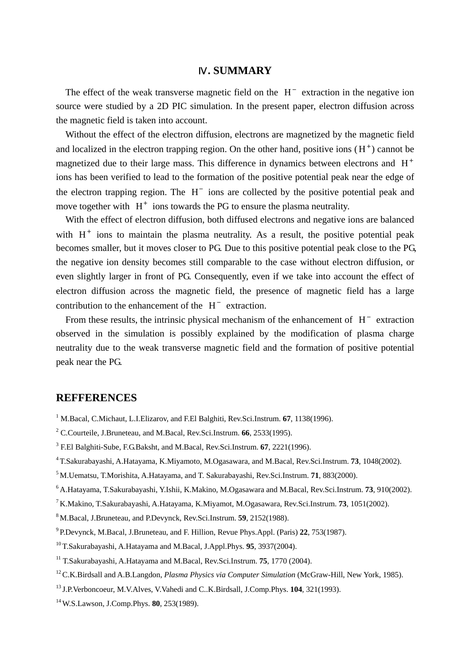## **. SUMMARY**

The effect of the weak transverse magnetic field on the  $H^-$  extraction in the negative ion source were studied by a 2D PIC simulation. In the present paper, electron diffusion across the magnetic field is taken into account.

Without the effect of the electron diffusion, electrons are magnetized by the magnetic field and localized in the electron trapping region. On the other hand, positive ions  $(H<sup>+</sup>)$  cannot be magnetized due to their large mass. This difference in dynamics between electrons and  $H^+$ ions has been verified to lead to the formation of the positive potential peak near the edge of the electron trapping region. The  $H^-$  ions are collected by the positive potential peak and move together with  $H^+$  ions towards the PG to ensure the plasma neutrality.

With the effect of electron diffusion, both diffused electrons and negative ions are balanced with  $H^+$  ions to maintain the plasma neutrality. As a result, the positive potential peak becomes smaller, but it moves closer to PG. Due to this positive potential peak close to the PG, the negative ion density becomes still comparable to the case without electron diffusion, or even slightly larger in front of PG. Consequently, even if we take into account the effect of electron diffusion across the magnetic field, the presence of magnetic field has a large contribution to the enhancement of the  $H^-$  extraction.

From these results, the intrinsic physical mechanism of the enhancement of  $H^-$  extraction observed in the simulation is possibly explained by the modification of plasma charge neutrality due to the weak transverse magnetic field and the formation of positive potential peak near the PG.

## **REFFERENCES**

- <sup>1</sup> M.Bacal, C.Michaut, L.I.Elizarov, and F.El Balghiti, Rev.Sci.Instrum. **67**, 1138(1996).
- 2 C.Courteile, J.Bruneteau, and M.Bacal, Rev.Sci.Instrum. **66**, 2533(1995).
- 3 F.El Balghiti-Sube, F.G.Baksht, and M.Bacal, Rev.Sci.Instrum. **67**, 2221(1996).
- 4 T.Sakurabayashi, A.Hatayama, K.Miyamoto, M.Ogasawara, and M.Bacal, Rev.Sci.Instrum. **73**, 1048(2002).
- 5 M.Uematsu, T.Morishita, A.Hatayama, and T. Sakurabayashi, Rev.Sci.Instrum. **71**, 883(2000).
- 6 A.Hatayama, T.Sakurabayashi, Y.Ishii, K.Makino, M.Ogasawara and M.Bacal, Rev.Sci.Instrum. **73**, 910(2002).
- 7 K.Makino, T.Sakurabayashi, A.Hatayama, K.Miyamot, M.Ogasawara, Rev.Sci.Instrum. **73**, 1051(2002).
- 8 M.Bacal, J.Bruneteau, and P.Devynck, Rev.Sci.Instrum. **59**, 2152(1988).
- 9 P.Devynck, M.Bacal, J.Bruneteau, and F. Hillion, Revue Phys.Appl. (Paris) **22**, 753(1987).
- 10 T.Sakurabayashi, A.Hatayama and M.Bacal, J.Appl.Phys. **95**, 3937(2004).
- 11 T.Sakurabayashi, A.Hatayama and M.Bacal, Rev.Sci.Instrum. **75**, 1770 (2004).
- 12 C.K.Birdsall and A.B.Langdon, *Plasma Physics via Computer Simulation* (McGraw-Hill, New York, 1985).
- 13 J.P.Verboncoeur, M.V.Alves, V.Vahedi and C..K.Birdsall, J.Comp.Phys. **104**, 321(1993).
- 14 W.S.Lawson, J.Comp.Phys. **80**, 253(1989).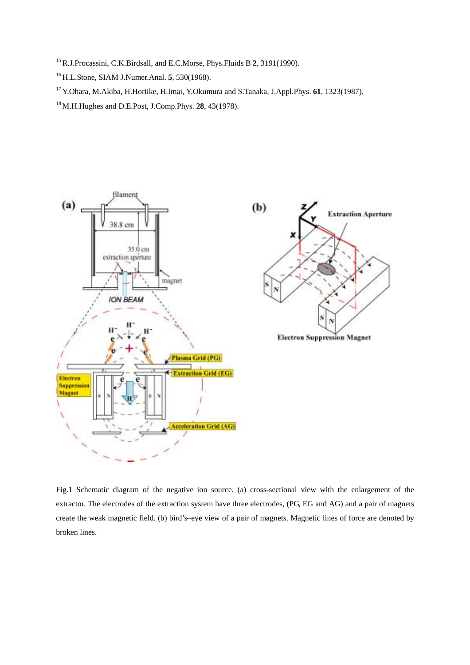- 15 R.J.Procassini, C.K.Birdsall, and E.C.Morse, Phys.Fluids B **2**, 3191(1990).
- 16 H.L.Stone, SIAM J.Numer.Anal. **5**, 530(1968).
- 17 Y.Ohara, M.Akiba, H.Horiike, H.Imai, Y.Okumura and S.Tanaka, J.Appl.Phys. **61**, 1323(1987).
- 18 M.H.Hughes and D.E.Post, J.Comp.Phys. **28**, 43(1978).



Fig.1 Schematic diagram of the negative ion source. (a) cross-sectional view with the enlargement of the extractor. The electrodes of the extraction system have three electrodes, (PG, EG and AG) and a pair of magnets create the weak magnetic field. (b) bird's–eye view of a pair of magnets. Magnetic lines of force are denoted by broken lines.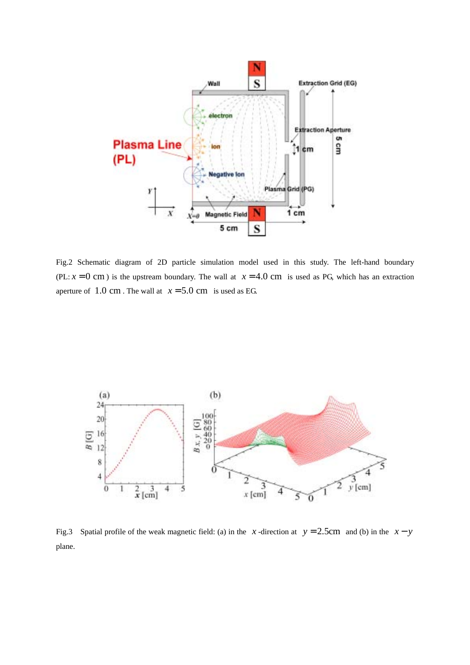

Fig.2 Schematic diagram of 2D particle simulation model used in this study. The left-hand boundary (PL:  $x = 0$  cm) is the upstream boundary. The wall at  $x = 4.0$  cm is used as PG, which has an extraction aperture of  $1.0 \text{ cm}$ . The wall at  $x = 5.0 \text{ cm}$  is used as EG.



Fig.3 Spatial profile of the weak magnetic field: (a) in the *x* -direction at  $y = 2.5$ cm and (b) in the  $x - y$ plane.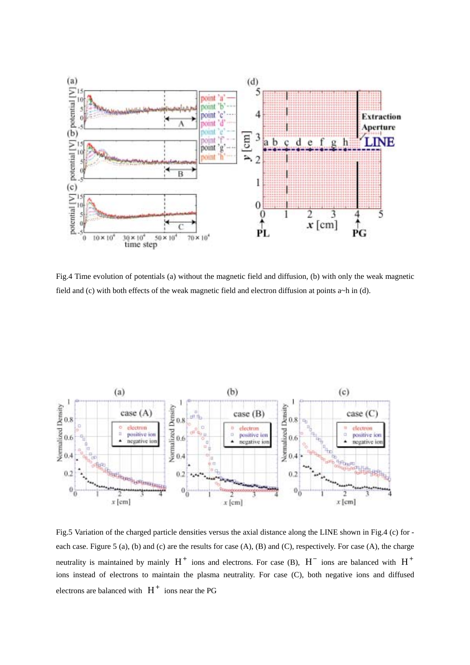

Fig.4 Time evolution of potentials (a) without the magnetic field and diffusion, (b) with only the weak magnetic field and (c) with both effects of the weak magnetic field and electron diffusion at points a~h in (d).



Fig.5 Variation of the charged particle densities versus the axial distance along the LINE shown in Fig.4 (c) for each case. Figure 5 (a), (b) and (c) are the results for case (A), (B) and (C), respectively. For case (A), the charge neutrality is maintained by mainly  $H^+$  ions and electrons. For case (B),  $H^-$  ions are balanced with  $H^+$ ions instead of electrons to maintain the plasma neutrality. For case (C), both negative ions and diffused electrons are balanced with  $H^+$  ions near the PG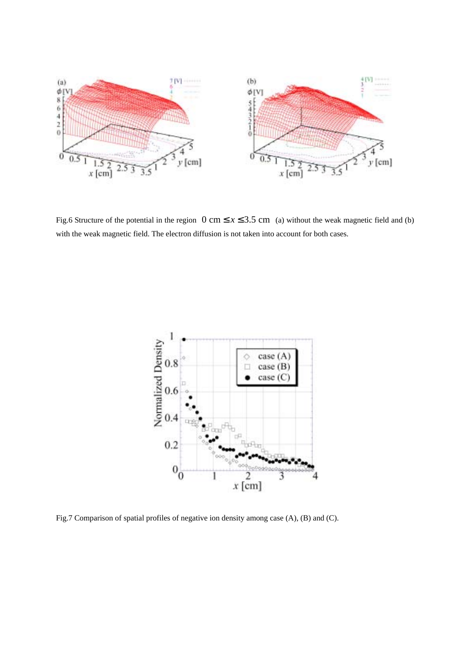

Fig.6 Structure of the potential in the region  $0 \text{ cm} \le x \le 3.5 \text{ cm}$  (a) without the weak magnetic field and (b) with the weak magnetic field. The electron diffusion is not taken into account for both cases.



Fig.7 Comparison of spatial profiles of negative ion density among case (A), (B) and (C).